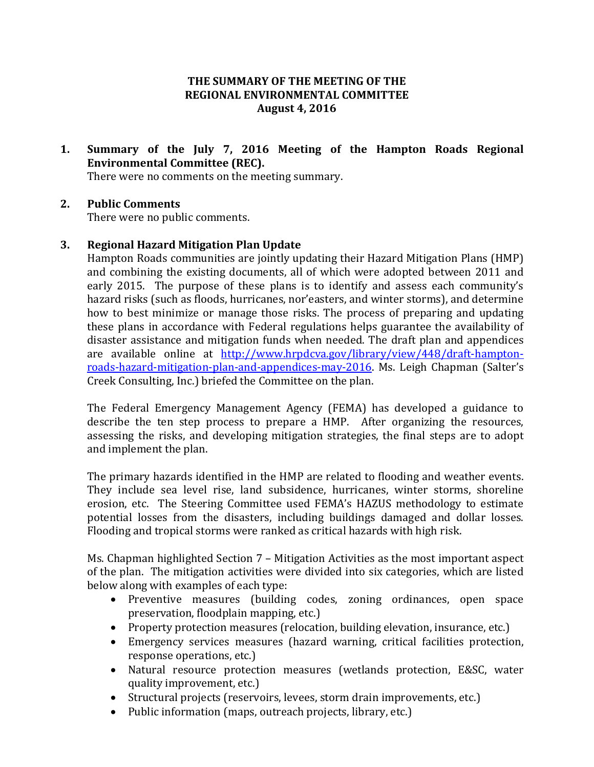### **THE SUMMARY OF THE MEETING OF THE REGIONAL ENVIRONMENTAL COMMITTEE August 4, 2016**

**1. Summary of the July 7, 2016 Meeting of the Hampton Roads Regional Environmental Committee (REC).**

There were no comments on the meeting summary.

#### **2. Public Comments**

There were no public comments.

#### **3. Regional Hazard Mitigation Plan Update**

Hampton Roads communities are jointly updating their Hazard Mitigation Plans (HMP) and combining the existing documents, all of which were adopted between 2011 and early 2015. The purpose of these plans is to identify and assess each community's hazard risks (such as floods, hurricanes, nor'easters, and winter storms), and determine how to best minimize or manage those risks. The process of preparing and updating these plans in accordance with Federal regulations helps guarantee the availability of disaster assistance and mitigation funds when needed. The draft plan and appendices are available online at [http://www.hrpdcva.gov/library/view/448/draft-hampton](http://www.hrpdcva.gov/library/view/448/draft-hampton-roads-hazard-mitigation-plan-and-appendices-may-2016)[roads-hazard-mitigation-plan-and-appendices-may-2016.](http://www.hrpdcva.gov/library/view/448/draft-hampton-roads-hazard-mitigation-plan-and-appendices-may-2016) Ms. Leigh Chapman (Salter's Creek Consulting, Inc.) briefed the Committee on the plan.

The Federal Emergency Management Agency (FEMA) has developed a guidance to describe the ten step process to prepare a HMP. After organizing the resources, assessing the risks, and developing mitigation strategies, the final steps are to adopt and implement the plan.

The primary hazards identified in the HMP are related to flooding and weather events. They include sea level rise, land subsidence, hurricanes, winter storms, shoreline erosion, etc. The Steering Committee used FEMA's HAZUS methodology to estimate potential losses from the disasters, including buildings damaged and dollar losses. Flooding and tropical storms were ranked as critical hazards with high risk.

Ms. Chapman highlighted Section 7 – Mitigation Activities as the most important aspect of the plan. The mitigation activities were divided into six categories, which are listed below along with examples of each type:

- Preventive measures (building codes, zoning ordinances, open space preservation, floodplain mapping, etc.)
- Property protection measures (relocation, building elevation, insurance, etc.)
- Emergency services measures (hazard warning, critical facilities protection, response operations, etc.)
- Natural resource protection measures (wetlands protection, E&SC, water quality improvement, etc.)
- Structural projects (reservoirs, levees, storm drain improvements, etc.)
- Public information (maps, outreach projects, library, etc.)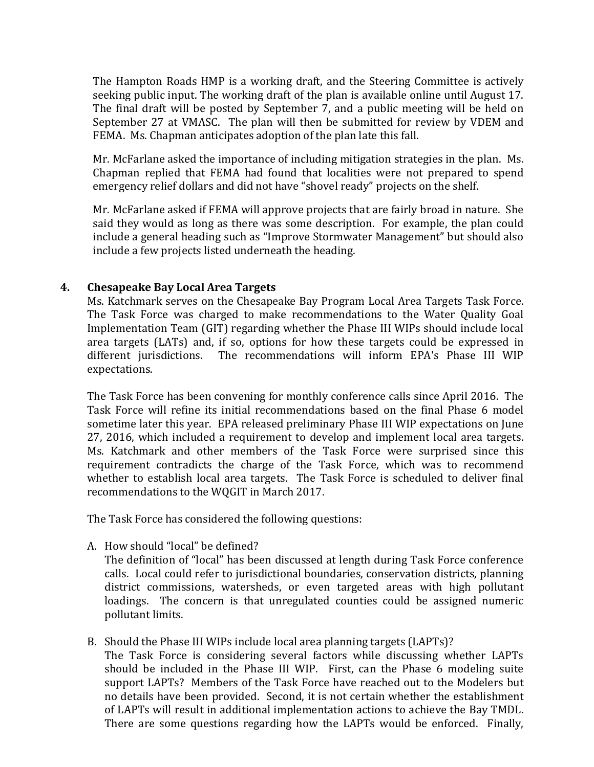The Hampton Roads HMP is a working draft, and the Steering Committee is actively seeking public input. The working draft of the plan is available online until August 17. The final draft will be posted by September 7, and a public meeting will be held on September 27 at VMASC. The plan will then be submitted for review by VDEM and FEMA. Ms. Chapman anticipates adoption of the plan late this fall.

Mr. McFarlane asked the importance of including mitigation strategies in the plan. Ms. Chapman replied that FEMA had found that localities were not prepared to spend emergency relief dollars and did not have "shovel ready" projects on the shelf.

Mr. McFarlane asked if FEMA will approve projects that are fairly broad in nature. She said they would as long as there was some description. For example, the plan could include a general heading such as "Improve Stormwater Management" but should also include a few projects listed underneath the heading.

#### **4. Chesapeake Bay Local Area Targets**

Ms. Katchmark serves on the Chesapeake Bay Program Local Area Targets Task Force. The Task Force was charged to make recommendations to the Water Quality Goal Implementation Team (GIT) regarding whether the Phase III WIPs should include local area targets (LATs) and, if so, options for how these targets could be expressed in different jurisdictions. The recommendations will inform EPA's Phase III WIP expectations.

The Task Force has been convening for monthly conference calls since April 2016. The Task Force will refine its initial recommendations based on the final Phase 6 model sometime later this year. EPA released preliminary Phase III WIP expectations on June 27, 2016, which included a requirement to develop and implement local area targets. Ms. Katchmark and other members of the Task Force were surprised since this requirement contradicts the charge of the Task Force, which was to recommend whether to establish local area targets. The Task Force is scheduled to deliver final recommendations to the WQGIT in March 2017.

The Task Force has considered the following questions:

A. How should "local" be defined?

The definition of "local" has been discussed at length during Task Force conference calls. Local could refer to jurisdictional boundaries, conservation districts, planning district commissions, watersheds, or even targeted areas with high pollutant loadings. The concern is that unregulated counties could be assigned numeric pollutant limits.

B. Should the Phase III WIPs include local area planning targets (LAPTs)? The Task Force is considering several factors while discussing whether LAPTs should be included in the Phase III WIP. First, can the Phase 6 modeling suite support LAPTs? Members of the Task Force have reached out to the Modelers but no details have been provided. Second, it is not certain whether the establishment of LAPTs will result in additional implementation actions to achieve the Bay TMDL. There are some questions regarding how the LAPTs would be enforced. Finally,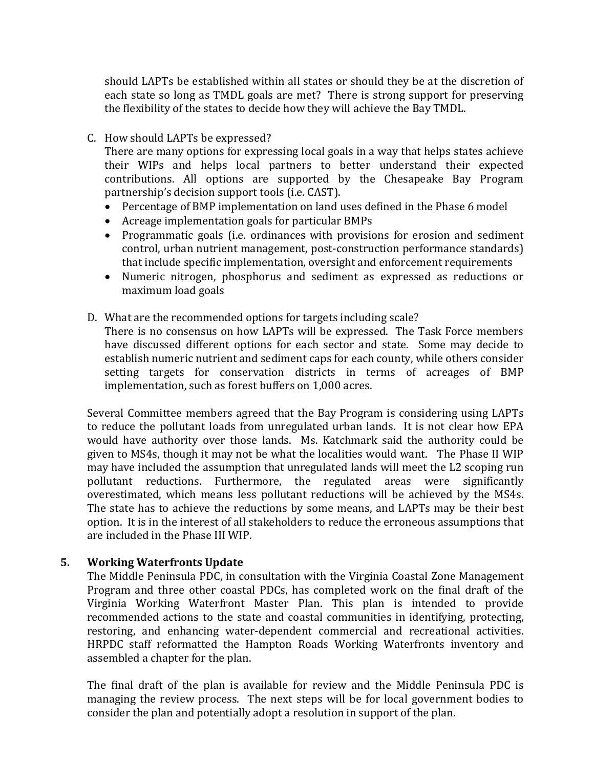should LAPTs be established within all states or should they be at the discretion of each state so long as TMDL goals are met? There is strong support for preserving the flexibility of the states to decide how they will achieve the Bay TMDL.

#### C. How should LAPTs be expressed?

There are many options for expressing local goals in a way that helps states achieve their WIPs and helps local partners to better understand their expected contributions. All options are supported by the Chesapeake Bay Program partnership's decision support tools (i.e. CAST).

- Percentage of BMP implementation on land uses defined in the Phase 6 model
- Acreage implementation goals for particular BMPs
- Programmatic goals (i.e. ordinances with provisions for erosion and sediment control, urban nutrient management, post-construction performance standards) that include specific implementation, oversight and enforcement requirements
- Numeric nitrogen, phosphorus and sediment as expressed as reductions or maximum load goals
- D. What are the recommended options for targets including scale?

There is no consensus on how LAPTs will be expressed. The Task Force members have discussed different options for each sector and state. Some may decide to establish numeric nutrient and sediment caps for each county, while others consider setting targets for conservation districts in terms of acreages of BMP implementation, such as forest buffers on 1,000 acres.

Several Committee members agreed that the Bay Program is considering using LAPTs to reduce the pollutant loads from unregulated urban lands. It is not clear how EPA would have authority over those lands. Ms. Katchmark said the authority could be given to MS4s, though it may not be what the localities would want. The Phase II WIP may have included the assumption that unregulated lands will meet the L2 scoping run pollutant reductions. Furthermore, the regulated areas were significantly overestimated, which means less pollutant reductions will be achieved by the MS4s. The state has to achieve the reductions by some means, and LAPTs may be their best option. It is in the interest of all stakeholders to reduce the erroneous assumptions that are included in the Phase III WIP.

#### **5. Working Waterfronts Update**

The Middle Peninsula PDC, in consultation with the Virginia Coastal Zone Management Program and three other coastal PDCs, has completed work on the final draft of the Virginia Working Waterfront Master Plan. This plan is intended to provide recommended actions to the state and coastal communities in identifying, protecting, restoring, and enhancing water-dependent commercial and recreational activities. HRPDC staff reformatted the Hampton Roads Working Waterfronts inventory and assembled a chapter for the plan.

The final draft of the plan is available for review and the Middle Peninsula PDC is managing the review process. The next steps will be for local government bodies to consider the plan and potentially adopt a resolution in support of the plan.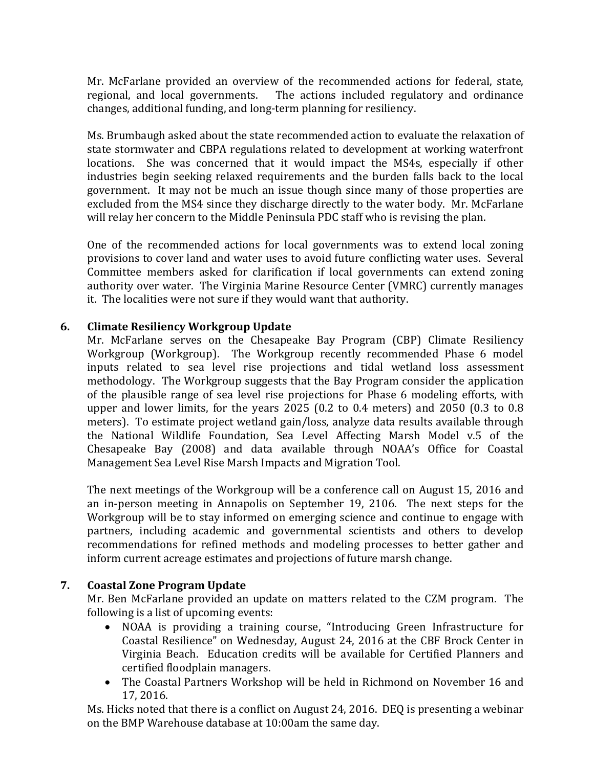Mr. McFarlane provided an overview of the recommended actions for federal, state, regional, and local governments. The actions included regulatory and ordinance changes, additional funding, and long-term planning for resiliency.

Ms. Brumbaugh asked about the state recommended action to evaluate the relaxation of state stormwater and CBPA regulations related to development at working waterfront locations. She was concerned that it would impact the MS4s, especially if other industries begin seeking relaxed requirements and the burden falls back to the local government. It may not be much an issue though since many of those properties are excluded from the MS4 since they discharge directly to the water body. Mr. McFarlane will relay her concern to the Middle Peninsula PDC staff who is revising the plan.

One of the recommended actions for local governments was to extend local zoning provisions to cover land and water uses to avoid future conflicting water uses. Several Committee members asked for clarification if local governments can extend zoning authority over water. The Virginia Marine Resource Center (VMRC) currently manages it. The localities were not sure if they would want that authority.

## **6. Climate Resiliency Workgroup Update**

Mr. McFarlane serves on the Chesapeake Bay Program (CBP) Climate Resiliency Workgroup (Workgroup). The Workgroup recently recommended Phase 6 model inputs related to sea level rise projections and tidal wetland loss assessment methodology. The Workgroup suggests that the Bay Program consider the application of the plausible range of sea level rise projections for Phase 6 modeling efforts, with upper and lower limits, for the years 2025 (0.2 to 0.4 meters) and 2050 (0.3 to 0.8 meters). To estimate project wetland gain/loss, analyze data results available through the National Wildlife Foundation, Sea Level Affecting Marsh Model v.5 of the Chesapeake Bay (2008) and data available through NOAA's Office for Coastal Management Sea Level Rise Marsh Impacts and Migration Tool.

The next meetings of the Workgroup will be a conference call on August 15, 2016 and an in-person meeting in Annapolis on September 19, 2106. The next steps for the Workgroup will be to stay informed on emerging science and continue to engage with partners, including academic and governmental scientists and others to develop recommendations for refined methods and modeling processes to better gather and inform current acreage estimates and projections of future marsh change.

#### **7. Coastal Zone Program Update**

Mr. Ben McFarlane provided an update on matters related to the CZM program. The following is a list of upcoming events:

- NOAA is providing a training course, "Introducing Green Infrastructure for Coastal Resilience" on Wednesday, August 24, 2016 at the CBF Brock Center in Virginia Beach. Education credits will be available for Certified Planners and certified floodplain managers.
- The Coastal Partners Workshop will be held in Richmond on November 16 and 17, 2016.

Ms. Hicks noted that there is a conflict on August 24, 2016. DEQ is presenting a webinar on the BMP Warehouse database at 10:00am the same day.